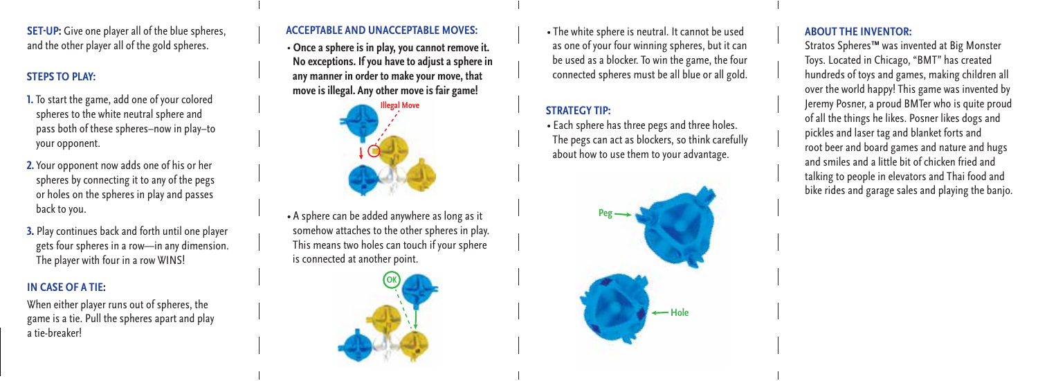**SET-UP:** Give one player all of the blue spheres, and the other player all of the gold spheres.

## **STEPS TO PLAY:**

- **1.** To start the game, add one of your colored spheres to the white neutral sphere and pass both of these spheres–now in play–to your opponent.
- **2.** Your opponent now adds one of his or her spheres by connecting it to any of the pegs or holes on the spheres in play and passes back to you.
- **3.** Play continues back and forth until one player gets four spheres in a row—in any dimension. The player with four in a row WINS!

#### **IN CASE OF A TIE:**

When either player runs out of spheres, the game is a tie. Pull the spheres apart and play a tie-breaker!

### **ACCEPTABLE AND UNACCEPTABLE MOVES:**

• **Once a sphere is in play, you cannot remove it. No exceptions. If you have to adjust a sphere in any manner in order to make your move, that move is illegal. Any other move is fair game!**



• A sphere can be added anywhere as long as it somehow attaches to the other spheres in play. This means two holes can touch if your sphere is connected at another point.



• The white sphere is neutral. It cannot be used as one of your four winning spheres, but it can be used as a blocker. To win the game, the four connected spheres must be all blue or all gold.

### **STRATEGY TIP:**

• Each sphere has three pegs and three holes. The pegs can act as blockers, so think carefully about how to use them to your advantage.



#### **ABOUT THE INVENTOR:**

Stratos Spheres™ was invented at Big Monster Toys. Located in Chicago, "BMT" has created hundreds of toys and games, making children all over the world happy! This game was invented by Jeremy Posner, a proud BMTer who is quite proud of all the things he likes. Posner likes dogs and pickles and laser tag and blanket forts and root beer and board games and nature and hugs and smiles and a little bit of chicken fried and talking to people in elevators and Thai food and bike rides and garage sales and playing the banjo.